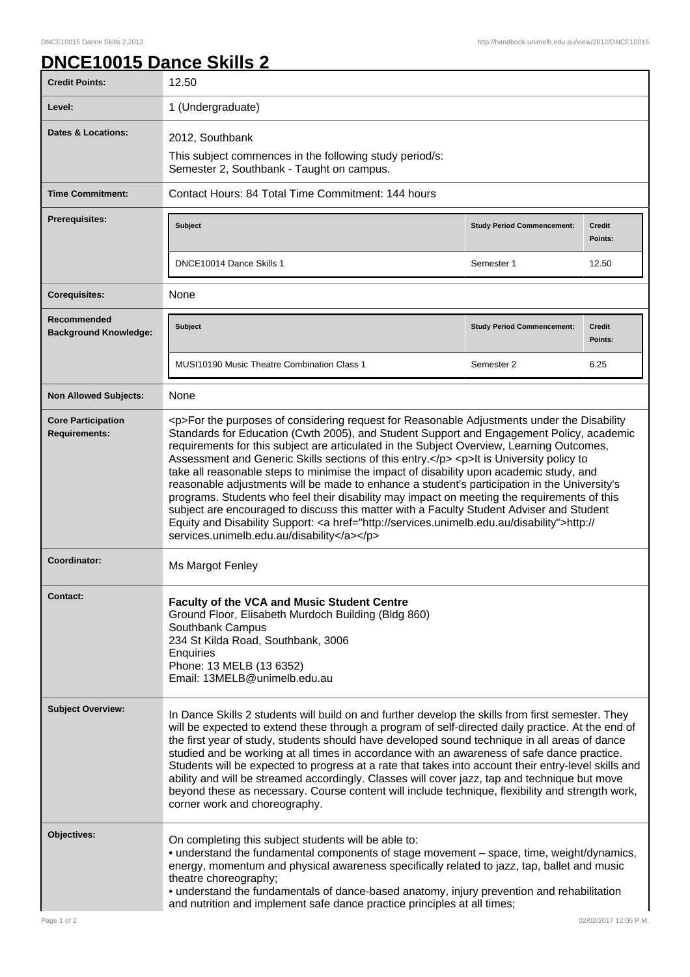## **DNCE10015 Dance Skills 2**

| <b>Credit Points:</b>                             | 12.50                                                                                                                                                                                                                                                                                                                                                                                                                                                                                                                                                                                                                                                                                                                                                                                                                                                                                                                        |                                   |                          |
|---------------------------------------------------|------------------------------------------------------------------------------------------------------------------------------------------------------------------------------------------------------------------------------------------------------------------------------------------------------------------------------------------------------------------------------------------------------------------------------------------------------------------------------------------------------------------------------------------------------------------------------------------------------------------------------------------------------------------------------------------------------------------------------------------------------------------------------------------------------------------------------------------------------------------------------------------------------------------------------|-----------------------------------|--------------------------|
| Level:                                            | 1 (Undergraduate)                                                                                                                                                                                                                                                                                                                                                                                                                                                                                                                                                                                                                                                                                                                                                                                                                                                                                                            |                                   |                          |
| <b>Dates &amp; Locations:</b>                     | 2012, Southbank                                                                                                                                                                                                                                                                                                                                                                                                                                                                                                                                                                                                                                                                                                                                                                                                                                                                                                              |                                   |                          |
|                                                   | This subject commences in the following study period/s:<br>Semester 2, Southbank - Taught on campus.                                                                                                                                                                                                                                                                                                                                                                                                                                                                                                                                                                                                                                                                                                                                                                                                                         |                                   |                          |
| <b>Time Commitment:</b>                           | Contact Hours: 84 Total Time Commitment: 144 hours                                                                                                                                                                                                                                                                                                                                                                                                                                                                                                                                                                                                                                                                                                                                                                                                                                                                           |                                   |                          |
| <b>Prerequisites:</b>                             | <b>Subject</b>                                                                                                                                                                                                                                                                                                                                                                                                                                                                                                                                                                                                                                                                                                                                                                                                                                                                                                               | <b>Study Period Commencement:</b> | <b>Credit</b><br>Points: |
|                                                   | DNCE10014 Dance Skills 1                                                                                                                                                                                                                                                                                                                                                                                                                                                                                                                                                                                                                                                                                                                                                                                                                                                                                                     | Semester 1                        | 12.50                    |
| <b>Corequisites:</b>                              | None                                                                                                                                                                                                                                                                                                                                                                                                                                                                                                                                                                                                                                                                                                                                                                                                                                                                                                                         |                                   |                          |
| Recommended<br><b>Background Knowledge:</b>       | <b>Subject</b>                                                                                                                                                                                                                                                                                                                                                                                                                                                                                                                                                                                                                                                                                                                                                                                                                                                                                                               | <b>Study Period Commencement:</b> | <b>Credit</b><br>Points: |
|                                                   | <b>MUSI10190 Music Theatre Combination Class 1</b>                                                                                                                                                                                                                                                                                                                                                                                                                                                                                                                                                                                                                                                                                                                                                                                                                                                                           | Semester 2                        | 6.25                     |
| <b>Non Allowed Subjects:</b>                      | None                                                                                                                                                                                                                                                                                                                                                                                                                                                                                                                                                                                                                                                                                                                                                                                                                                                                                                                         |                                   |                          |
| <b>Core Participation</b><br><b>Requirements:</b> | <p>For the purposes of considering request for Reasonable Adjustments under the Disability<br/>Standards for Education (Cwth 2005), and Student Support and Engagement Policy, academic<br/>requirements for this subject are articulated in the Subject Overview, Learning Outcomes,<br/>Assessment and Generic Skills sections of this entry.</p> <p>lt is University policy to<br/>take all reasonable steps to minimise the impact of disability upon academic study, and<br/>reasonable adjustments will be made to enhance a student's participation in the University's<br/>programs. Students who feel their disability may impact on meeting the requirements of this<br/>subject are encouraged to discuss this matter with a Faculty Student Adviser and Student<br/>Equity and Disability Support: &lt; a href="http://services.unimelb.edu.au/disability"&gt;http://<br/>services.unimelb.edu.au/disability</p> |                                   |                          |
| Coordinator:                                      | Ms Margot Fenley                                                                                                                                                                                                                                                                                                                                                                                                                                                                                                                                                                                                                                                                                                                                                                                                                                                                                                             |                                   |                          |
| Contact:                                          | Faculty of the VCA and Music Student Centre<br>Ground Floor, Elisabeth Murdoch Building (Bldg 860)<br>Southbank Campus<br>234 St Kilda Road, Southbank, 3006<br>Enquiries<br>Phone: 13 MELB (13 6352)<br>Email: 13MELB@unimelb.edu.au                                                                                                                                                                                                                                                                                                                                                                                                                                                                                                                                                                                                                                                                                        |                                   |                          |
| <b>Subject Overview:</b>                          | In Dance Skills 2 students will build on and further develop the skills from first semester. They<br>will be expected to extend these through a program of self-directed daily practice. At the end of<br>the first year of study, students should have developed sound technique in all areas of dance<br>studied and be working at all times in accordance with an awareness of safe dance practice.<br>Students will be expected to progress at a rate that takes into account their entry-level skills and<br>ability and will be streamed accordingly. Classes will cover jazz, tap and technique but move<br>beyond these as necessary. Course content will include technique, flexibility and strength work,<br>corner work and choreography.                                                                                                                                                                         |                                   |                          |
| Objectives:                                       | On completing this subject students will be able to:<br>• understand the fundamental components of stage movement - space, time, weight/dynamics,<br>energy, momentum and physical awareness specifically related to jazz, tap, ballet and music<br>theatre choreography;<br>• understand the fundamentals of dance-based anatomy, injury prevention and rehabilitation<br>and nutrition and implement safe dance practice principles at all times;                                                                                                                                                                                                                                                                                                                                                                                                                                                                          |                                   |                          |